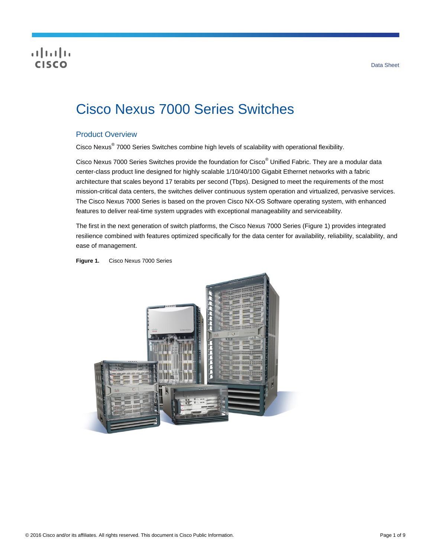## **CISCO**

# Cisco Nexus 7000 Series Switches

## Product Overview

Cisco Nexus<sup>®</sup> 7000 Series Switches combine high levels of scalability with operational flexibility.

Cisco Nexus 7000 Series Switches provide the foundation for Cisco® Unified Fabric. They are a modular data center-class product line designed for highly scalable 1/10/40/100 Gigabit Ethernet networks with a fabric architecture that scales beyond 17 terabits per second (Tbps). Designed to meet the requirements of the most mission-critical data centers, the switches deliver continuous system operation and virtualized, pervasive services. The Cisco Nexus 7000 Series is based on the proven Cisco NX-OS Software operating system, with enhanced features to deliver real-time system upgrades with exceptional manageability and serviceability.

The first in the next generation of switch platforms, the Cisco Nexus 7000 Series (Figure 1) provides integrated resilience combined with features optimized specifically for the data center for availability, reliability, scalability, and ease of management.

**Figure 1.** Cisco Nexus 7000 Series

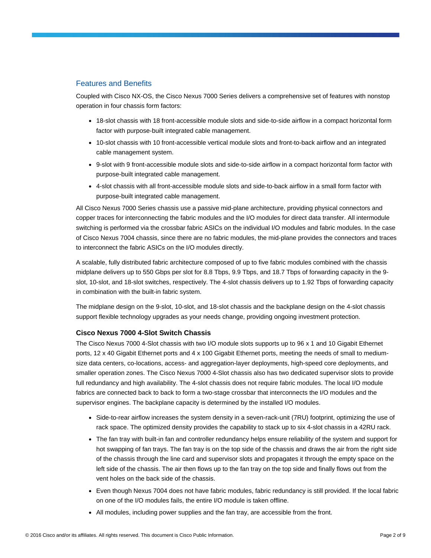### Features and Benefits

Coupled with Cisco NX-OS, the Cisco Nexus 7000 Series delivers a comprehensive set of features with nonstop operation in four chassis form factors:

- 18-slot chassis with 18 front-accessible module slots and side-to-side airflow in a compact horizontal form factor with purpose-built integrated cable management.
- 10-slot chassis with 10 front-accessible vertical module slots and front-to-back airflow and an integrated cable management system.
- 9-slot with 9 front-accessible module slots and side-to-side airflow in a compact horizontal form factor with purpose-built integrated cable management.
- 4-slot chassis with all front-accessible module slots and side-to-back airflow in a small form factor with purpose-built integrated cable management.

All Cisco Nexus 7000 Series chassis use a passive mid-plane architecture, providing physical connectors and copper traces for interconnecting the fabric modules and the I/O modules for direct data transfer. All intermodule switching is performed via the crossbar fabric ASICs on the individual I/O modules and fabric modules. In the case of Cisco Nexus 7004 chassis, since there are no fabric modules, the mid-plane provides the connectors and traces to interconnect the fabric ASICs on the I/O modules directly.

A scalable, fully distributed fabric architecture composed of up to five fabric modules combined with the chassis midplane delivers up to 550 Gbps per slot for 8.8 Tbps, 9.9 Tbps, and 18.7 Tbps of forwarding capacity in the 9 slot, 10-slot, and 18-slot switches, respectively. The 4-slot chassis delivers up to 1.92 Tbps of forwarding capacity in combination with the built-in fabric system.

The midplane design on the 9-slot, 10-slot, and 18-slot chassis and the backplane design on the 4-slot chassis support flexible technology upgrades as your needs change, providing ongoing investment protection.

#### **Cisco Nexus 7000 4-Slot Switch Chassis**

The Cisco Nexus 7000 4-Slot chassis with two I/O module slots supports up to 96 x 1 and 10 Gigabit Ethernet ports, 12 x 40 Gigabit Ethernet ports and 4 x 100 Gigabit Ethernet ports, meeting the needs of small to mediumsize data centers, co-locations, access- and aggregation-layer deployments, high-speed core deployments, and smaller operation zones. The Cisco Nexus 7000 4-Slot chassis also has two dedicated supervisor slots to provide full redundancy and high availability. The 4-slot chassis does not require fabric modules. The local I/O module fabrics are connected back to back to form a two-stage crossbar that interconnects the I/O modules and the supervisor engines. The backplane capacity is determined by the installed I/O modules.

- Side-to-rear airflow increases the system density in a seven-rack-unit (7RU) footprint, optimizing the use of rack space. The optimized density provides the capability to stack up to six 4-slot chassis in a 42RU rack.
- The fan tray with built-in fan and controller redundancy helps ensure reliability of the system and support for hot swapping of fan trays. The fan tray is on the top side of the chassis and draws the air from the right side of the chassis through the line card and supervisor slots and propagates it through the empty space on the left side of the chassis. The air then flows up to the fan tray on the top side and finally flows out from the vent holes on the back side of the chassis.
- Even though Nexus 7004 does not have fabric modules, fabric redundancy is still provided. If the local fabric on one of the I/O modules fails, the entire I/O module is taken offline.
- All modules, including power supplies and the fan tray, are accessible from the front.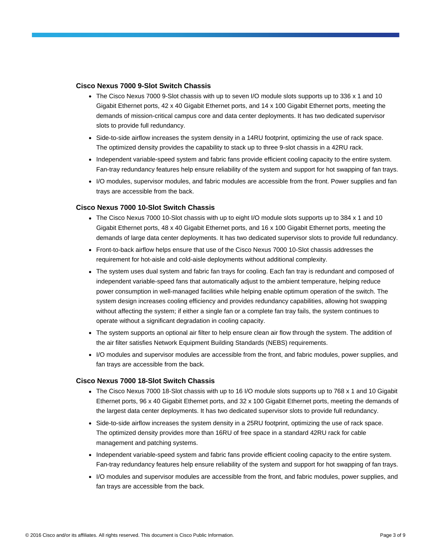#### **Cisco Nexus 7000 9-Slot Switch Chassis**

- The Cisco Nexus 7000 9-Slot chassis with up to seven I/O module slots supports up to 336 x 1 and 10 Gigabit Ethernet ports, 42 x 40 Gigabit Ethernet ports, and 14 x 100 Gigabit Ethernet ports, meeting the demands of mission-critical campus core and data center deployments. It has two dedicated supervisor slots to provide full redundancy.
- Side-to-side airflow increases the system density in a 14RU footprint, optimizing the use of rack space. The optimized density provides the capability to stack up to three 9-slot chassis in a 42RU rack.
- Independent variable-speed system and fabric fans provide efficient cooling capacity to the entire system. Fan-tray redundancy features help ensure reliability of the system and support for hot swapping of fan trays.
- I/O modules, supervisor modules, and fabric modules are accessible from the front. Power supplies and fan trays are accessible from the back.

#### **Cisco Nexus 7000 10-Slot Switch Chassis**

- The Cisco Nexus 7000 10-Slot chassis with up to eight I/O module slots supports up to 384 x 1 and 10 Gigabit Ethernet ports, 48 x 40 Gigabit Ethernet ports, and 16 x 100 Gigabit Ethernet ports, meeting the demands of large data center deployments. It has two dedicated supervisor slots to provide full redundancy.
- Front-to-back airflow helps ensure that use of the Cisco Nexus 7000 10-Slot chassis addresses the requirement for hot-aisle and cold-aisle deployments without additional complexity.
- The system uses dual system and fabric fan trays for cooling. Each fan tray is redundant and composed of independent variable-speed fans that automatically adjust to the ambient temperature, helping reduce power consumption in well-managed facilities while helping enable optimum operation of the switch. The system design increases cooling efficiency and provides redundancy capabilities, allowing hot swapping without affecting the system; if either a single fan or a complete fan tray fails, the system continues to operate without a significant degradation in cooling capacity.
- The system supports an optional air filter to help ensure clean air flow through the system. The addition of the air filter satisfies Network Equipment Building Standards (NEBS) requirements.
- I/O modules and supervisor modules are accessible from the front, and fabric modules, power supplies, and fan trays are accessible from the back.

#### **Cisco Nexus 7000 18-Slot Switch Chassis**

- The Cisco Nexus 7000 18-Slot chassis with up to 16 I/O module slots supports up to 768 x 1 and 10 Gigabit Ethernet ports, 96 x 40 Gigabit Ethernet ports, and 32 x 100 Gigabit Ethernet ports, meeting the demands of the largest data center deployments. It has two dedicated supervisor slots to provide full redundancy.
- Side-to-side airflow increases the system density in a 25RU footprint, optimizing the use of rack space. The optimized density provides more than 16RU of free space in a standard 42RU rack for cable management and patching systems.
- Independent variable-speed system and fabric fans provide efficient cooling capacity to the entire system. Fan-tray redundancy features help ensure reliability of the system and support for hot swapping of fan trays.
- I/O modules and supervisor modules are accessible from the front, and fabric modules, power supplies, and fan trays are accessible from the back.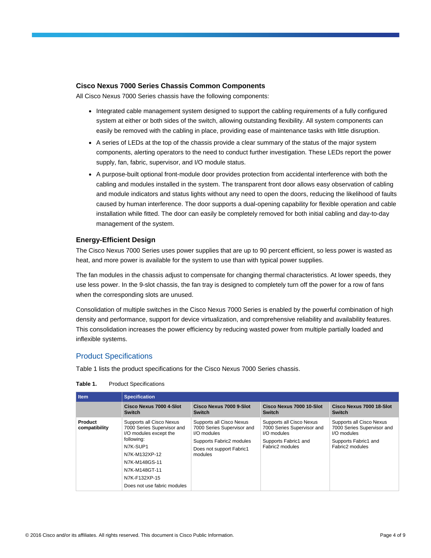#### **Cisco Nexus 7000 Series Chassis Common Components**

All Cisco Nexus 7000 Series chassis have the following components:

- Integrated cable management system designed to support the cabling requirements of a fully configured system at either or both sides of the switch, allowing outstanding flexibility. All system components can easily be removed with the cabling in place, providing ease of maintenance tasks with little disruption.
- A series of LEDs at the top of the chassis provide a clear summary of the status of the major system components, alerting operators to the need to conduct further investigation. These LEDs report the power supply, fan, fabric, supervisor, and I/O module status.
- A purpose-built optional front-module door provides protection from accidental interference with both the cabling and modules installed in the system. The transparent front door allows easy observation of cabling and module indicators and status lights without any need to open the doors, reducing the likelihood of faults caused by human interference. The door supports a dual-opening capability for flexible operation and cable installation while fitted. The door can easily be completely removed for both initial cabling and day-to-day management of the system.

#### **Energy-Efficient Design**

The Cisco Nexus 7000 Series uses power supplies that are up to 90 percent efficient, so less power is wasted as heat, and more power is available for the system to use than with typical power supplies.

The fan modules in the chassis adjust to compensate for changing thermal characteristics. At lower speeds, they use less power. In the 9-slot chassis, the fan tray is designed to completely turn off the power for a row of fans when the corresponding slots are unused.

Consolidation of multiple switches in the Cisco Nexus 7000 Series is enabled by the powerful combination of high density and performance, support for device virtualization, and comprehensive reliability and availability features. This consolidation increases the power efficiency by reducing wasted power from multiple partially loaded and inflexible systems.

## Product Specifications

Table 1 lists the product specifications for the Cisco Nexus 7000 Series chassis.

| Item                     | <b>Specification</b>                                                                                                                                                                                          |                                                                                                                                          |                                                                                                                  |                                                                                                                  |
|--------------------------|---------------------------------------------------------------------------------------------------------------------------------------------------------------------------------------------------------------|------------------------------------------------------------------------------------------------------------------------------------------|------------------------------------------------------------------------------------------------------------------|------------------------------------------------------------------------------------------------------------------|
|                          | Cisco Nexus 7000 4-Slot<br><b>Switch</b>                                                                                                                                                                      | Cisco Nexus 7000 9-Slot<br><b>Switch</b>                                                                                                 | Cisco Nexus 7000 10-Slot<br><b>Switch</b>                                                                        | Cisco Nexus 7000 18-Slot<br>Switch                                                                               |
| Product<br>compatibility | Supports all Cisco Nexus<br>7000 Series Supervisor and<br>I/O modules except the<br>following:<br>N7K-SUP1<br>N7K-M132XP-12<br>N7K-M148GS-11<br>N7K-M148GT-11<br>N7K-F132XP-15<br>Does not use fabric modules | Supports all Cisco Nexus<br>7000 Series Supervisor and<br>I/O modules<br>Supports Fabric2 modules<br>Does not support Fabric1<br>modules | Supports all Cisco Nexus<br>7000 Series Supervisor and<br>I/O modules<br>Supports Fabric1 and<br>Fabric2 modules | Supports all Cisco Nexus<br>7000 Series Supervisor and<br>I/O modules<br>Supports Fabric1 and<br>Fabric2 modules |

#### **Table 1.** Product Specifications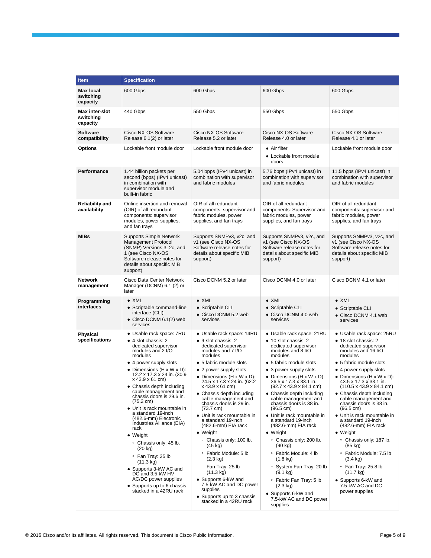| <b>Item</b>                             | <b>Specification</b>                                                                                                                                                                                                                                                                                                                                                                                                                                                                                                                                                                                                                                                           |                                                                                                                                                                                                                                                                                                                                                                                                                                                                                                                                                                                                                                                                                                                |                                                                                                                                                                                                                                                                                                                                                                                                                                                                                                                                                                                                                                                                                                                                               |                                                                                                                                                                                                                                                                                                                                                                                                                                                                                                                                                                                                                                                                                                                           |
|-----------------------------------------|--------------------------------------------------------------------------------------------------------------------------------------------------------------------------------------------------------------------------------------------------------------------------------------------------------------------------------------------------------------------------------------------------------------------------------------------------------------------------------------------------------------------------------------------------------------------------------------------------------------------------------------------------------------------------------|----------------------------------------------------------------------------------------------------------------------------------------------------------------------------------------------------------------------------------------------------------------------------------------------------------------------------------------------------------------------------------------------------------------------------------------------------------------------------------------------------------------------------------------------------------------------------------------------------------------------------------------------------------------------------------------------------------------|-----------------------------------------------------------------------------------------------------------------------------------------------------------------------------------------------------------------------------------------------------------------------------------------------------------------------------------------------------------------------------------------------------------------------------------------------------------------------------------------------------------------------------------------------------------------------------------------------------------------------------------------------------------------------------------------------------------------------------------------------|---------------------------------------------------------------------------------------------------------------------------------------------------------------------------------------------------------------------------------------------------------------------------------------------------------------------------------------------------------------------------------------------------------------------------------------------------------------------------------------------------------------------------------------------------------------------------------------------------------------------------------------------------------------------------------------------------------------------------|
| Max local<br>switching<br>capacity      | 600 Gbps                                                                                                                                                                                                                                                                                                                                                                                                                                                                                                                                                                                                                                                                       | 600 Gbps                                                                                                                                                                                                                                                                                                                                                                                                                                                                                                                                                                                                                                                                                                       | 600 Gbps                                                                                                                                                                                                                                                                                                                                                                                                                                                                                                                                                                                                                                                                                                                                      | 600 Gbps                                                                                                                                                                                                                                                                                                                                                                                                                                                                                                                                                                                                                                                                                                                  |
| Max inter-slot<br>switching<br>capacity | 440 Gbps                                                                                                                                                                                                                                                                                                                                                                                                                                                                                                                                                                                                                                                                       | 550 Gbps                                                                                                                                                                                                                                                                                                                                                                                                                                                                                                                                                                                                                                                                                                       | 550 Gbps                                                                                                                                                                                                                                                                                                                                                                                                                                                                                                                                                                                                                                                                                                                                      | 550 Gbps                                                                                                                                                                                                                                                                                                                                                                                                                                                                                                                                                                                                                                                                                                                  |
| <b>Software</b><br>compatibility        | Cisco NX-OS Software<br>Release 6.1(2) or later                                                                                                                                                                                                                                                                                                                                                                                                                                                                                                                                                                                                                                | Cisco NX-OS Software<br>Release 5.2 or later                                                                                                                                                                                                                                                                                                                                                                                                                                                                                                                                                                                                                                                                   | Cisco NX-OS Software<br>Release 4.0 or later                                                                                                                                                                                                                                                                                                                                                                                                                                                                                                                                                                                                                                                                                                  | Cisco NX-OS Software<br>Release 4.1 or later                                                                                                                                                                                                                                                                                                                                                                                                                                                                                                                                                                                                                                                                              |
| <b>Options</b>                          | Lockable front module door                                                                                                                                                                                                                                                                                                                                                                                                                                                                                                                                                                                                                                                     | Lockable front module door                                                                                                                                                                                                                                                                                                                                                                                                                                                                                                                                                                                                                                                                                     | • Air filter<br>• Lockable front module<br>doors                                                                                                                                                                                                                                                                                                                                                                                                                                                                                                                                                                                                                                                                                              | Lockable front module door                                                                                                                                                                                                                                                                                                                                                                                                                                                                                                                                                                                                                                                                                                |
| Performance                             | 1.44 billion packets per<br>second (bpps) (IPv4 unicast)<br>in combination with<br>supervisor module and<br>built-in fabric                                                                                                                                                                                                                                                                                                                                                                                                                                                                                                                                                    | 5.04 bpps (IPv4 unicast) in<br>combination with supervisor<br>and fabric modules                                                                                                                                                                                                                                                                                                                                                                                                                                                                                                                                                                                                                               | 5.76 bpps (IPv4 unicast) in<br>combination with supervisor<br>and fabric modules                                                                                                                                                                                                                                                                                                                                                                                                                                                                                                                                                                                                                                                              | 11.5 bpps (IPv4 unicast) in<br>combination with supervisor<br>and fabric modules                                                                                                                                                                                                                                                                                                                                                                                                                                                                                                                                                                                                                                          |
| <b>Reliability and</b><br>availability  | Online insertion and removal<br>(OIR) of all redundant<br>components: supervisor<br>modules, power supplies,<br>and fan trays                                                                                                                                                                                                                                                                                                                                                                                                                                                                                                                                                  | OIR of all redundant<br>components: supervisor and<br>fabric modules, power<br>supplies, and fan trays                                                                                                                                                                                                                                                                                                                                                                                                                                                                                                                                                                                                         | OIR of all redundant<br>components: Supervisor and<br>fabric modules, power<br>supplies, and fan trays                                                                                                                                                                                                                                                                                                                                                                                                                                                                                                                                                                                                                                        | OIR of all redundant<br>components: supervisor and<br>fabric modules, power<br>supplies, and fan trays                                                                                                                                                                                                                                                                                                                                                                                                                                                                                                                                                                                                                    |
| <b>MIBs</b>                             | <b>Supports Simple Network</b><br><b>Management Protocol</b><br>(SNMP) Versions 3, 2c, and<br>1 (see Cisco NX-OS<br>Software release notes for<br>details about specific MIB<br>support)                                                                                                                                                                                                                                                                                                                                                                                                                                                                                       | Supports SNMPv3, v2c, and<br>v1 (see Cisco NX-OS<br>Software release notes for<br>details about specific MIB<br>support)                                                                                                                                                                                                                                                                                                                                                                                                                                                                                                                                                                                       | Supports SNMPv3, v2c, and<br>v1 (see Cisco NX-OS<br>Software release notes for<br>details about specific MIB<br>support)                                                                                                                                                                                                                                                                                                                                                                                                                                                                                                                                                                                                                      | Supports SNMPv3, v2c, and<br>v1 (see Cisco NX-OS<br>Software release notes for<br>details about specific MIB<br>support)                                                                                                                                                                                                                                                                                                                                                                                                                                                                                                                                                                                                  |
| Network<br>management                   | Cisco Data Center Network<br>Manager (DCNM) 6.1.(2) or<br>later                                                                                                                                                                                                                                                                                                                                                                                                                                                                                                                                                                                                                | Cisco DCNM 5.2 or later                                                                                                                                                                                                                                                                                                                                                                                                                                                                                                                                                                                                                                                                                        | Cisco DCNM 4.0 or later                                                                                                                                                                                                                                                                                                                                                                                                                                                                                                                                                                                                                                                                                                                       | Cisco DCNM 4.1 or later                                                                                                                                                                                                                                                                                                                                                                                                                                                                                                                                                                                                                                                                                                   |
| Programming<br>interfaces               | $\bullet$ XML<br>• Scriptable command-line<br>interface (CLI)<br>• Cisco DCNM 6.1(2) web<br>services                                                                                                                                                                                                                                                                                                                                                                                                                                                                                                                                                                           | $\bullet$ XML<br>• Scriptable CLI<br>• Cisco DCNM 5.2 web<br>services                                                                                                                                                                                                                                                                                                                                                                                                                                                                                                                                                                                                                                          | $\bullet$ XML<br>• Scriptable CLI<br>• Cisco DCNM 4.0 web<br>services                                                                                                                                                                                                                                                                                                                                                                                                                                                                                                                                                                                                                                                                         | $\bullet$ XML<br>• Scriptable CLI<br>• Cisco DCNM 4.1 web<br>services                                                                                                                                                                                                                                                                                                                                                                                                                                                                                                                                                                                                                                                     |
| <b>Physical</b><br>specifications       | • Usable rack space: 7RU<br>• 4-slot chassis: 2<br>dedicated supervisor<br>modules and 2 I/O<br>modules<br>• 4 power supply slots<br>• Dimensions (H x W x D):<br>12.2 x 17.3 x 24 in. (30.9<br>x 43.9 x 61 cm)<br>• Chassis depth including<br>cable management and<br>chassis doors is 29.6 in.<br>$(75.2 \text{ cm})$<br>• Unit is rack mountable in<br>a standard 19-inch<br>(482.6-mm) Electronic<br>Industries Alliance (EIA)<br>rack<br>$\bullet$ Weight<br>○ Chassis only: 45 lb.<br>(20 kg)<br>∘ Fan Tray: 25 lb<br>$(11.3 \text{ kg})$<br>• Supports 3-kW AC and<br>DC and 3.5-kW HV<br>AC/DC power supplies<br>• Supports up to 6 chassis<br>stacked in a 42RU rack | • Usable rack space: 14RU<br>• 9-slot chassis: 2<br>dedicated supervisor<br>modules and 7 I/O<br>modules<br>• 5 fabric module slots<br>• 2 power supply slots<br>• Dimensions $(H \times W \times D)$ :<br>24.5 x 17.3 x 24 in. (62.2)<br>x 43.9 x 61 cm)<br>• Chassis depth including<br>cable management and<br>chassis doors is 29 in.<br>$(73.7 \text{ cm})$<br>• Unit is rack mountable in<br>a standard 19-inch<br>(482.6-mm) EIA rack<br>• Weight<br>○ Chassis only: 100 lb.<br>(45 kg)<br>∘ Fabric Module: 5 lb<br>$(2.3 \text{ kg})$<br>∘ Fan Tray: 25 lb<br>$(11.3 \text{ kg})$<br>• Supports 6-kW and<br>7.5-kW AC and DC power<br>supplies<br>• Supports up to 3 chassis<br>stacked in a 42RU rack | • Usable rack space: 21RU<br>• 10-slot chassis: 2<br>dedicated supervisor<br>modules and 8 I/O<br>modules<br>• 5 fabric module slots<br>• 3 power supply slots<br>• Dimensions $(H \times W \times D)$ :<br>36.5 x 17.3 x 33.1 in.<br>$(92.7 \times 43.9 \times 84.1 \text{ cm})$<br>• Chassis depth including<br>cable management and<br>chassis doors is 38 in.<br>$(96.5 \text{ cm})$<br>• Unit is rack mountable in<br>a standard 19-inch<br>(482.6-mm) EIA rack<br>$\bullet$ Weight<br>○ Chassis only: 200 lb.<br>(90 kg)<br>○ Fabric Module: 4 lb<br>$(1.8 \text{ kg})$<br>○ System Fan Tray: 20 lb<br>$(9.1 \text{ kg})$<br>∘ Fabric Fan Tray: 5 lb<br>$(2.3 \text{ kg})$<br>• Supports 6-kW and<br>7.5-kW AC and DC power<br>supplies | • Usable rack space: 25RU<br>• 18-slot chassis: 2<br>dedicated supervisor<br>modules and 16 I/O<br>modules<br>• 5 fabric module slots<br>• 4 power supply slots<br>• Dimensions $(H \times W \times D)$ :<br>43.5 x 17.3 x 33.1 in.<br>$(110.5 \times 43.9 \times 84.1 \text{ cm})$<br>• Chassis depth including<br>cable management and<br>chassis doors is 38 in.<br>$(96.5 \text{ cm})$<br>• Unit is rack mountable in<br>a standard 19-inch<br>(482.6-mm) EIA rack<br>$\bullet$ Weight<br><sup>o</sup> Chassis only: 187 lb.<br>$(85 \text{ kg})$<br>○ Fabric Module: 7.5 lb<br>$(3.4 \text{ kg})$<br>$\degree$ Fan Tray: 25.8 lb<br>$(11.7 \text{ kg})$<br>• Supports 6-kW and<br>7.5-kW AC and DC<br>power supplies |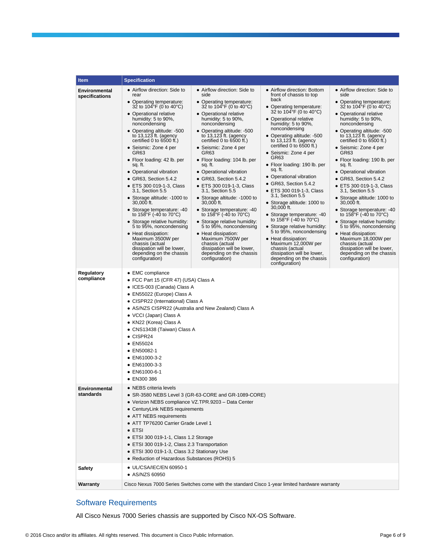| <b>Item</b>                     | <b>Specification</b>                                                                                                                                                                                                                                                                                                                                                                                                                                                                                                                                                                                                                                                                                                                                                                                                                                                                                                                                                                                                                                                                                                                                                                                                                                                                                                                                                                                                                                                                                                                                                                                                                                                                                                                                                                                                                                                                                                                                                                                                                                                                                                                                                                                                                                                                                                                                                                                                                                                                                                                                                                                                                                                                                                                                                                                                                                                                                                                                                                                                                                    |
|---------------------------------|---------------------------------------------------------------------------------------------------------------------------------------------------------------------------------------------------------------------------------------------------------------------------------------------------------------------------------------------------------------------------------------------------------------------------------------------------------------------------------------------------------------------------------------------------------------------------------------------------------------------------------------------------------------------------------------------------------------------------------------------------------------------------------------------------------------------------------------------------------------------------------------------------------------------------------------------------------------------------------------------------------------------------------------------------------------------------------------------------------------------------------------------------------------------------------------------------------------------------------------------------------------------------------------------------------------------------------------------------------------------------------------------------------------------------------------------------------------------------------------------------------------------------------------------------------------------------------------------------------------------------------------------------------------------------------------------------------------------------------------------------------------------------------------------------------------------------------------------------------------------------------------------------------------------------------------------------------------------------------------------------------------------------------------------------------------------------------------------------------------------------------------------------------------------------------------------------------------------------------------------------------------------------------------------------------------------------------------------------------------------------------------------------------------------------------------------------------------------------------------------------------------------------------------------------------------------------------------------------------------------------------------------------------------------------------------------------------------------------------------------------------------------------------------------------------------------------------------------------------------------------------------------------------------------------------------------------------------------------------------------------------------------------------------------------------|
| Environmental<br>specifications | • Airflow direction: Side to<br>• Airflow direction: Side to<br>• Airflow direction: Bottom<br>● Airflow direction: Side to<br>side<br>front of chassis to top<br>side<br>rear<br>back<br>• Operating temperature:<br>• Operating temperature:<br>• Operating temperature:<br>32 to 104°F (0 to 40°C)<br>32 to 104°F (0 to 40°C)<br>32 to 104°F (0 to 40°C)<br>• Operating temperature:<br>32 to 104°F (0 to 40°C)<br>• Operational relative<br>• Operational relative<br>• Operational relative<br>• Operational relative<br>humidity: 5 to 90%,<br>humidity: 5 to 90%,<br>humidity: 5 to 90%,<br>noncondensing<br>noncondensing<br>humidity: 5 to 90%,<br>noncondensing<br>noncondensing<br>• Operating altitude: -500<br>• Operating altitude: -500<br>• Operating altitude: -500<br>• Operating altitude: -500<br>to 13,123 ft. (agency<br>to $13,123$ ft. (agency<br>to $13,123$ ft. (agency<br>to $13,123$ ft. (agency<br>certified 0 to $6500$ ft.)<br>certified 0 to 6500 ft.)<br>certified 0 to 6500 ft.)<br>certified 0 to 6500 ft.)<br>· Seismic: Zone 4 per<br>• Seismic: Zone 4 per<br>• Seismic: Zone 4 per<br>• Seismic: Zone 4 per<br>GR63<br>GR <sub>63</sub><br>GR63<br>GR63<br>• Floor loading: 104 lb. per<br>• Floor loading: 190 lb. per<br>• Floor loading: 42 lb. per<br>• Floor loading: 190 lb. per<br>sq. ft.<br>sq. ft.<br>sq. ft.<br>sq. ft.<br>• Operational vibration<br>• Operational vibration<br>• Operational vibration<br>• Operational vibration<br>GR63, Section 5.4.2<br>GR63, Section 5.4.2<br>$\bullet$ GR63, Section 5.4.2<br>$\bullet$ GR63, Section 5.4.2<br>● ETS 300 019-1-3, Class<br>● ETS 300 019-1-3, Class<br>• ETS 300 019-1-3, Class<br>● ETS 300 019-1-3, Class<br>3.1, Section 5.5<br>3.1, Section 5.5<br>3.1, Section 5.5<br>3.1, Section 5.5<br>• Storage altitude: -1000 to<br>• Storage altitude: -1000 to<br>• Storage altitude: 1000 to<br>• Storage altitude: 1000 to<br>30,000 ft.<br>30,000 ft.<br>30,000 ft.<br>30,000 ft.<br>• Storage temperature: -40<br>• Storage temperature: -40<br>• Storage temperature: -40<br>to 158°F (-40 to 70°C)<br>to 158°F (-40 to 70°C)<br>to 158°F (-40 to 70°C)<br>• Storage temperature: -40<br>to 158°F (-40 to 70°C)<br>• Storage relative humidity:<br>• Storage relative humidity:<br>• Storage relative humidity:<br>5 to 95%, noncondensing<br>• Storage relative humidity:<br>5 to 95%, noncondensing<br>5 to 95%, noncondensing<br>5 to 95%, noncondensing<br>• Heat dissipation:<br>• Heat dissipation:<br>• Heat dissipation:<br>Maximum 3500W per<br>Maximum 7500W per<br>• Heat dissipation:<br>Maximum 18,000W per<br>Maximum 12,000W per<br>chassis (actual<br>chassis (actual<br>chassis (actual<br>dissipation will be lower,<br>dissipation will be lower,<br>chassis (actual<br>dissipation will be lower,<br>depending on the chassis<br>depending on the chassis<br>dissipation will be lower,<br>depending on the chassis<br>configuration)<br>configuration)<br>depending on the chassis<br>configuration)<br>configuration) |
| Regulatory<br>compliance        | • EMC compliance<br>• FCC Part 15 (CFR 47) (USA) Class A<br>• ICES-003 (Canada) Class A<br>• EN55022 (Europe) Class A<br>• CISPR22 (International) Class A<br>• AS/NZS CISPR22 (Australia and New Zealand) Class A<br>• VCCI (Japan) Class A<br>• KN22 (Korea) Class A<br>• CNS13438 (Taiwan) Class A<br>• CISPR24<br>• EN55024<br>• EN50082-1<br>• EN61000-3-2<br>• EN61000-3-3<br>• EN61000-6-1<br>• EN300 386                                                                                                                                                                                                                                                                                                                                                                                                                                                                                                                                                                                                                                                                                                                                                                                                                                                                                                                                                                                                                                                                                                                                                                                                                                                                                                                                                                                                                                                                                                                                                                                                                                                                                                                                                                                                                                                                                                                                                                                                                                                                                                                                                                                                                                                                                                                                                                                                                                                                                                                                                                                                                                        |
| Environmental<br>standards      | $\bullet$ NEBS criteria levels<br>• SR-3580 NEBS Level 3 (GR-63-CORE and GR-1089-CORE)<br>· Verizon NEBS compliance VZ.TPR.9203 - Data Center<br>• CenturyLink NEBS requirements<br>• ATT NEBS requirements<br>• ATT TP76200 Carrier Grade Level 1<br>$\bullet$ ETSI<br>• ETSI 300 019-1-1, Class 1.2 Storage<br>• ETSI 300 019-1-2, Class 2.3 Transportation<br>• ETSI 300 019-1-3, Class 3.2 Stationary Use<br>• Reduction of Hazardous Substances (ROHS) 5                                                                                                                                                                                                                                                                                                                                                                                                                                                                                                                                                                                                                                                                                                                                                                                                                                                                                                                                                                                                                                                                                                                                                                                                                                                                                                                                                                                                                                                                                                                                                                                                                                                                                                                                                                                                                                                                                                                                                                                                                                                                                                                                                                                                                                                                                                                                                                                                                                                                                                                                                                                           |
| <b>Safety</b>                   | • UL/CSA/IEC/EN 60950-1<br>• AS/NZS 60950                                                                                                                                                                                                                                                                                                                                                                                                                                                                                                                                                                                                                                                                                                                                                                                                                                                                                                                                                                                                                                                                                                                                                                                                                                                                                                                                                                                                                                                                                                                                                                                                                                                                                                                                                                                                                                                                                                                                                                                                                                                                                                                                                                                                                                                                                                                                                                                                                                                                                                                                                                                                                                                                                                                                                                                                                                                                                                                                                                                                               |
| Warranty                        | Cisco Nexus 7000 Series Switches come with the standard Cisco 1-year limited hardware warranty                                                                                                                                                                                                                                                                                                                                                                                                                                                                                                                                                                                                                                                                                                                                                                                                                                                                                                                                                                                                                                                                                                                                                                                                                                                                                                                                                                                                                                                                                                                                                                                                                                                                                                                                                                                                                                                                                                                                                                                                                                                                                                                                                                                                                                                                                                                                                                                                                                                                                                                                                                                                                                                                                                                                                                                                                                                                                                                                                          |

## Software Requirements

All Cisco Nexus 7000 Series chassis are supported by Cisco NX-OS Software.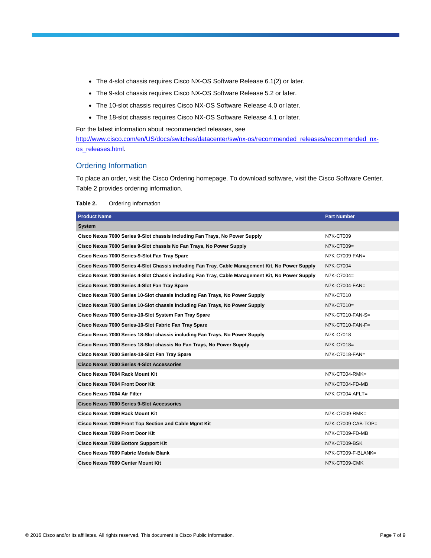- The 4-slot chassis requires Cisco NX-OS Software Release 6.1(2) or later.
- The 9-slot chassis requires Cisco NX-OS Software Release 5.2 or later.
- The 10-slot chassis requires Cisco NX-OS Software Release 4.0 or later.
- The 18-slot chassis requires Cisco NX-OS Software Release 4.1 or later.

For the latest information about recommended releases, see

[http://www.cisco.com/en/US/docs/switches/datacenter/sw/nx-os/recommended\\_releases/recommended\\_nx](http://www.cisco.com/en/US/docs/switches/datacenter/sw/nx-os/recommended_releases/recommended_nx-os_releases.html)[os\\_releases.html.](http://www.cisco.com/en/US/docs/switches/datacenter/sw/nx-os/recommended_releases/recommended_nx-os_releases.html)

#### Ordering Information

To place an order, visit the Cisco Ordering homepage. To download software, visit the Cisco Software Center. Table 2 provides ordering information.

| Table 2. |  | Ordering Information |
|----------|--|----------------------|
|----------|--|----------------------|

| <b>Product Name</b>                                                                              | <b>Part Number</b>   |  |  |  |
|--------------------------------------------------------------------------------------------------|----------------------|--|--|--|
| <b>System</b>                                                                                    |                      |  |  |  |
| Cisco Nexus 7000 Series 9-Slot chassis including Fan Trays, No Power Supply                      | N7K-C7009            |  |  |  |
| Cisco Nexus 7000 Series 9-Slot chassis No Fan Trays, No Power Supply                             | N7K-C7009=           |  |  |  |
| Cisco Nexus 7000 Series-9-Slot Fan Tray Spare                                                    | N7K-C7009-FAN=       |  |  |  |
| Cisco Nexus 7000 Series 4-Slot Chassis including Fan Tray, Cable Management Kit, No Power Supply | N7K-C7004            |  |  |  |
| Cisco Nexus 7000 Series 4-Slot Chassis including Fan Tray, Cable Management Kit, No Power Supply | $N7K-C7004=$         |  |  |  |
| Cisco Nexus 7000 Series 4-Slot Fan Tray Spare                                                    | $N7K-C7004-FAN=$     |  |  |  |
| Cisco Nexus 7000 Series 10-Slot chassis including Fan Trays, No Power Supply                     | N7K-C7010            |  |  |  |
| Cisco Nexus 7000 Series 10-Slot chassis including Fan Trays, No Power Supply                     | N7K-C7010=           |  |  |  |
| Cisco Nexus 7000 Series-10-Slot System Fan Tray Spare                                            | N7K-C7010-FAN-S=     |  |  |  |
| Cisco Nexus 7000 Series-10-Slot Fabric Fan Tray Spare                                            | N7K-C7010-FAN-F=     |  |  |  |
| Cisco Nexus 7000 Series 18-Slot chassis including Fan Trays, No Power Supply                     | N7K-C7018            |  |  |  |
| Cisco Nexus 7000 Series 18-Slot chassis No Fan Trays, No Power Supply                            | N7K-C7018=           |  |  |  |
| Cisco Nexus 7000 Series-18-Slot Fan Tray Spare                                                   | N7K-C7018-FAN=       |  |  |  |
| <b>Cisco Nexus 7000 Series 4-Slot Accessories</b>                                                |                      |  |  |  |
| Cisco Nexus 7004 Rack Mount Kit                                                                  | N7K-C7004-RMK=       |  |  |  |
| Cisco Nexus 7004 Front Door Kit                                                                  | N7K-C7004-FD-MB      |  |  |  |
| Cisco Nexus 7004 Air Filter                                                                      | $N7K-C7004-AFLT=$    |  |  |  |
| Cisco Nexus 7000 Series 9-Slot Accessories                                                       |                      |  |  |  |
| Cisco Nexus 7009 Rack Mount Kit                                                                  | N7K-C7009-RMK=       |  |  |  |
| Cisco Nexus 7009 Front Top Section and Cable Mgmt Kit                                            | $N7K-C7009-CAB-TOP=$ |  |  |  |
| Cisco Nexus 7009 Front Door Kit                                                                  | N7K-C7009-FD-MB      |  |  |  |
| Cisco Nexus 7009 Bottom Support Kit                                                              | N7K-C7009-BSK        |  |  |  |
| Cisco Nexus 7009 Fabric Module Blank                                                             | $N7K-C7009-F-BLANK=$ |  |  |  |
| Cisco Nexus 7009 Center Mount Kit                                                                | N7K-C7009-CMK        |  |  |  |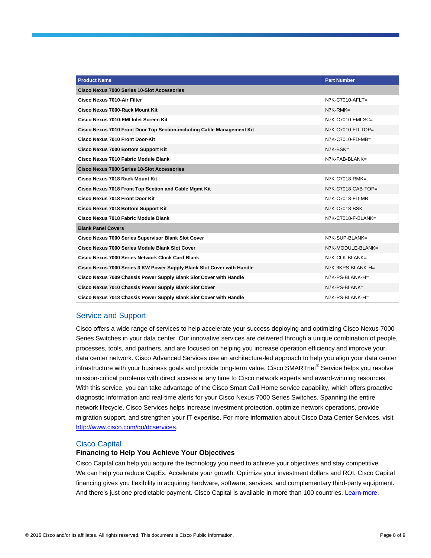| <b>Product Name</b>                                                    | <b>Part Number</b>   |  |  |  |
|------------------------------------------------------------------------|----------------------|--|--|--|
| <b>Cisco Nexus 7000 Series 10-Slot Accessories</b>                     |                      |  |  |  |
| Cisco Nexus 7010-Air Filter                                            | $N7K-C7010-AFLT=$    |  |  |  |
| Cisco Nexus 7000-Rack Mount Kit                                        | $N7K-RMK=$           |  |  |  |
| Cisco Nexus 7010-EMI Inlet Screen Kit                                  | $N7K-C7010-EMI-SC=$  |  |  |  |
| Cisco Nexus 7010 Front Door Top Section-including Cable Management Kit | N7K-C7010-FD-TOP=    |  |  |  |
| Cisco Nexus 7010 Front Door-Kit                                        | $N7K-C7010-FD-MB=$   |  |  |  |
| <b>Cisco Nexus 7000 Bottom Support Kit</b>                             | $N7K-BSK =$          |  |  |  |
| Cisco Nexus 7010 Fabric Module Blank                                   | $N7K$ -FAB-BLANK=    |  |  |  |
| Cisco Nexus 7000 Series 18-Slot Accessories                            |                      |  |  |  |
| Cisco Nexus 7018 Rack Mount Kit                                        | N7K-C7018-RMK=       |  |  |  |
| Cisco Nexus 7018 Front Top Section and Cable Mgmt Kit                  | $N7K-C7018-CAB-TOP=$ |  |  |  |
| Cisco Nexus 7018 Front Door Kit                                        | N7K-C7018-FD-MB      |  |  |  |
| Cisco Nexus 7018 Bottom Support Kit                                    | N7K-C7018-BSK        |  |  |  |
| Cisco Nexus 7018 Fabric Module Blank                                   | $N7K-C7018-F-BLANK=$ |  |  |  |
| <b>Blank Panel Covers</b>                                              |                      |  |  |  |
| Cisco Nexus 7000 Series Supervisor Blank Slot Cover                    | N7K-SUP-BLANK=       |  |  |  |
| Cisco Nexus 7000 Series Module Blank Slot Cover                        | N7K-MODULE-BLANK=    |  |  |  |
| Cisco Nexus 7000 Series Network Clock Card Blank                       | N7K-CLK-BLANK=       |  |  |  |
| Cisco Nexus 7000 Series 3 KW Power Supply Blank Slot Cover with Handle | N7K-3KPS-BLANK-H=    |  |  |  |
| Cisco Nexus 7009 Chassis Power Supply Blank Slot Cover with Handle     | N7K-PS-BLANK-H=      |  |  |  |
| Cisco Nexus 7010 Chassis Power Supply Blank Slot Cover                 | $N7K-PS-BLANK=$      |  |  |  |
| Cisco Nexus 7018 Chassis Power Supply Blank Slot Cover with Handle     | N7K-PS-BLANK-H=      |  |  |  |

## Service and Support

Cisco offers a wide range of services to help accelerate your success deploying and optimizing Cisco Nexus 7000 Series Switches in your data center. Our innovative services are delivered through a unique combination of people, processes, tools, and partners, and are focused on helping you increase operation efficiency and improve your data center network. Cisco Advanced Services use an architecture-led approach to help you align your data center infrastructure with your business goals and provide long-term value. Cisco SMARTnet® Service helps you resolve mission-critical problems with direct access at any time to Cisco network experts and award-winning resources. With this service, you can take advantage of the Cisco Smart Call Home service capability, which offers proactive diagnostic information and real-time alerts for your Cisco Nexus 7000 Series Switches. Spanning the entire network lifecycle, Cisco Services helps increase investment protection, optimize network operations, provide migration support, and strengthen your IT expertise. For more information about Cisco Data Center Services, visit [http://www.cisco.com/go/dcservices.](http://www.cisco.com/go/dcservices)

#### Cisco Capital

#### **Financing to Help You Achieve Your Objectives**

Cisco Capital can help you acquire the technology you need to achieve your objectives and stay competitive. We can help you reduce CapEx. Accelerate your growth. Optimize your investment dollars and ROI. Cisco Capital financing gives you flexibility in acquiring hardware, software, services, and complementary third-party equipment. And there's just one predictable payment. Cisco Capital is available in more than 100 countries. [Learn more.](http://www.cisco.com/web/ciscocapital/americas/us/index.html)